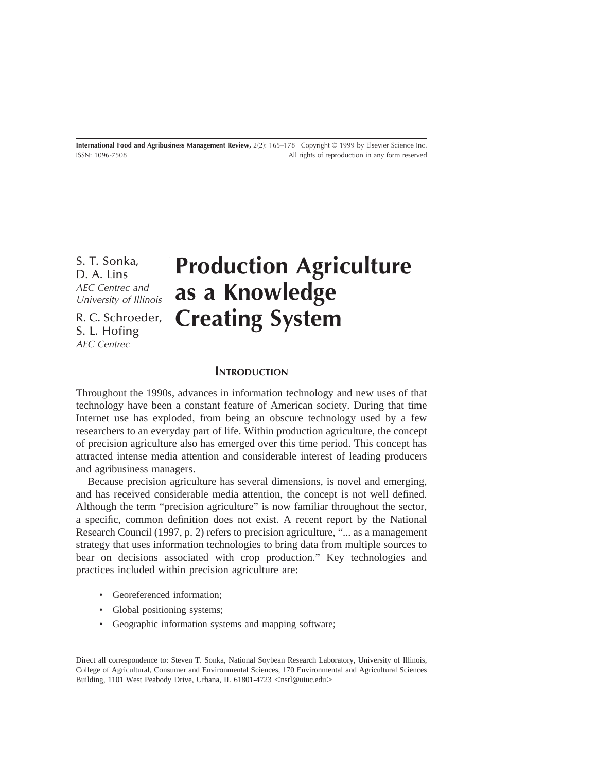S. T. Sonka, D. A. Lins University of Illinois

R. C. Schroeder, S. L. Hofing AEC Centrec

# **Production Agriculture** AEC Centrec and **and <b>AEC** Centrec and **a Knowledge Creating System**

# **INTRODUCTION**

Throughout the 1990s, advances in information technology and new uses of that technology have been a constant feature of American society. During that time Internet use has exploded, from being an obscure technology used by a few researchers to an everyday part of life. Within production agriculture, the concept of precision agriculture also has emerged over this time period. This concept has attracted intense media attention and considerable interest of leading producers and agribusiness managers.

Because precision agriculture has several dimensions, is novel and emerging, and has received considerable media attention, the concept is not well defined. Although the term "precision agriculture" is now familiar throughout the sector, a specific, common definition does not exist. A recent report by the National Research Council (1997, p. 2) refers to precision agriculture, "... as a management strategy that uses information technologies to bring data from multiple sources to bear on decisions associated with crop production." Key technologies and practices included within precision agriculture are:

- Georeferenced information;
- Global positioning systems;
- Geographic information systems and mapping software;

Direct all correspondence to: Steven T. Sonka, National Soybean Research Laboratory, University of Illinois, College of Agricultural, Consumer and Environmental Sciences, 170 Environmental and Agricultural Sciences Building, 1101 West Peabody Drive, Urbana, IL 61801-4723 <nsrl@uiuc.edu>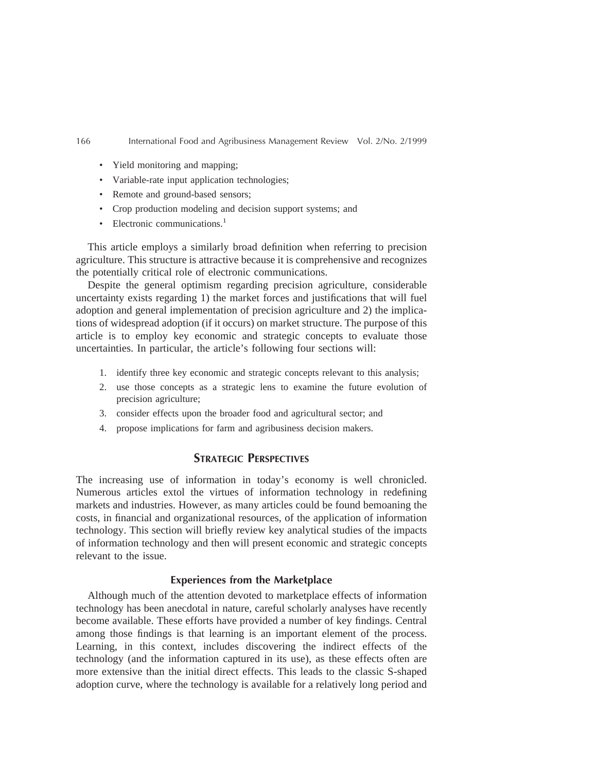- Yield monitoring and mapping;
- Variable-rate input application technologies;
- Remote and ground-based sensors;
- Crop production modeling and decision support systems; and
- Electronic communications. $<sup>1</sup>$ </sup>

This article employs a similarly broad definition when referring to precision agriculture. This structure is attractive because it is comprehensive and recognizes the potentially critical role of electronic communications.

Despite the general optimism regarding precision agriculture, considerable uncertainty exists regarding 1) the market forces and justifications that will fuel adoption and general implementation of precision agriculture and 2) the implications of widespread adoption (if it occurs) on market structure. The purpose of this article is to employ key economic and strategic concepts to evaluate those uncertainties. In particular, the article's following four sections will:

- 1. identify three key economic and strategic concepts relevant to this analysis;
- 2. use those concepts as a strategic lens to examine the future evolution of precision agriculture;
- 3. consider effects upon the broader food and agricultural sector; and
- 4. propose implications for farm and agribusiness decision makers.

# **STRATEGIC PERSPECTIVES**

The increasing use of information in today's economy is well chronicled. Numerous articles extol the virtues of information technology in redefining markets and industries. However, as many articles could be found bemoaning the costs, in financial and organizational resources, of the application of information technology. This section will briefly review key analytical studies of the impacts of information technology and then will present economic and strategic concepts relevant to the issue.

## **Experiences from the Marketplace**

Although much of the attention devoted to marketplace effects of information technology has been anecdotal in nature, careful scholarly analyses have recently become available. These efforts have provided a number of key findings. Central among those findings is that learning is an important element of the process. Learning, in this context, includes discovering the indirect effects of the technology (and the information captured in its use), as these effects often are more extensive than the initial direct effects. This leads to the classic S-shaped adoption curve, where the technology is available for a relatively long period and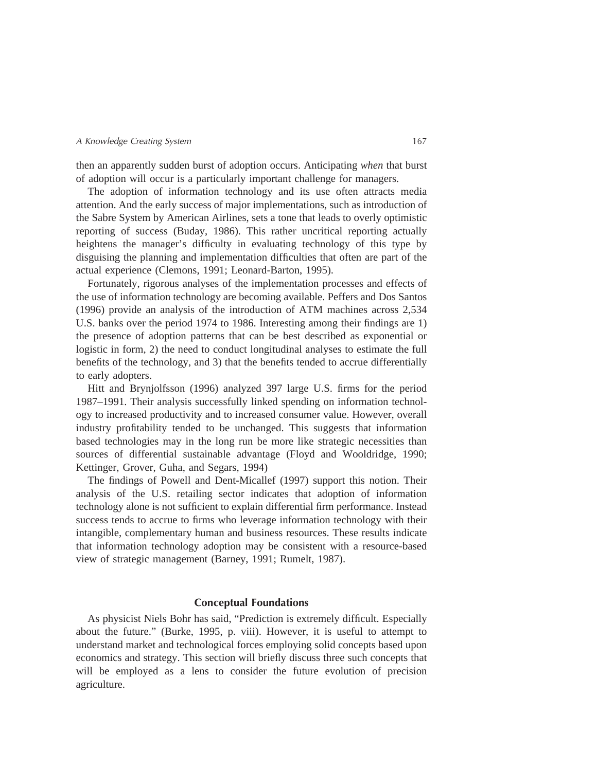then an apparently sudden burst of adoption occurs. Anticipating *when* that burst of adoption will occur is a particularly important challenge for managers.

The adoption of information technology and its use often attracts media attention. And the early success of major implementations, such as introduction of the Sabre System by American Airlines, sets a tone that leads to overly optimistic reporting of success (Buday, 1986). This rather uncritical reporting actually heightens the manager's difficulty in evaluating technology of this type by disguising the planning and implementation difficulties that often are part of the actual experience (Clemons, 1991; Leonard-Barton, 1995).

Fortunately, rigorous analyses of the implementation processes and effects of the use of information technology are becoming available. Peffers and Dos Santos (1996) provide an analysis of the introduction of ATM machines across 2,534 U.S. banks over the period 1974 to 1986. Interesting among their findings are 1) the presence of adoption patterns that can be best described as exponential or logistic in form, 2) the need to conduct longitudinal analyses to estimate the full benefits of the technology, and 3) that the benefits tended to accrue differentially to early adopters.

Hitt and Brynjolfsson (1996) analyzed 397 large U.S. firms for the period 1987–1991. Their analysis successfully linked spending on information technology to increased productivity and to increased consumer value. However, overall industry profitability tended to be unchanged. This suggests that information based technologies may in the long run be more like strategic necessities than sources of differential sustainable advantage (Floyd and Wooldridge, 1990; Kettinger, Grover, Guha, and Segars, 1994)

The findings of Powell and Dent-Micallef (1997) support this notion. Their analysis of the U.S. retailing sector indicates that adoption of information technology alone is not sufficient to explain differential firm performance. Instead success tends to accrue to firms who leverage information technology with their intangible, complementary human and business resources. These results indicate that information technology adoption may be consistent with a resource-based view of strategic management (Barney, 1991; Rumelt, 1987).

## **Conceptual Foundations**

As physicist Niels Bohr has said, "Prediction is extremely difficult. Especially about the future." (Burke, 1995, p. viii). However, it is useful to attempt to understand market and technological forces employing solid concepts based upon economics and strategy. This section will briefly discuss three such concepts that will be employed as a lens to consider the future evolution of precision agriculture.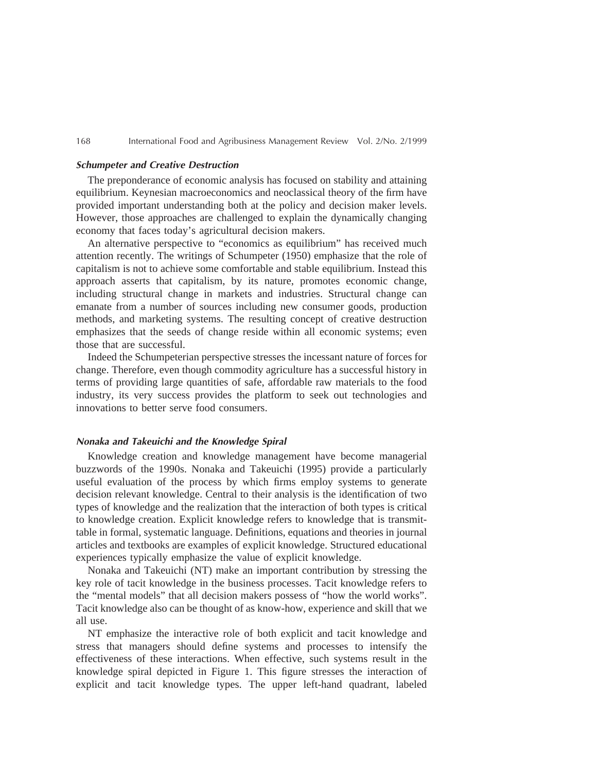#### **Schumpeter and Creative Destruction**

The preponderance of economic analysis has focused on stability and attaining equilibrium. Keynesian macroeconomics and neoclassical theory of the firm have provided important understanding both at the policy and decision maker levels. However, those approaches are challenged to explain the dynamically changing economy that faces today's agricultural decision makers.

An alternative perspective to "economics as equilibrium" has received much attention recently. The writings of Schumpeter (1950) emphasize that the role of capitalism is not to achieve some comfortable and stable equilibrium. Instead this approach asserts that capitalism, by its nature, promotes economic change, including structural change in markets and industries. Structural change can emanate from a number of sources including new consumer goods, production methods, and marketing systems. The resulting concept of creative destruction emphasizes that the seeds of change reside within all economic systems; even those that are successful.

Indeed the Schumpeterian perspective stresses the incessant nature of forces for change. Therefore, even though commodity agriculture has a successful history in terms of providing large quantities of safe, affordable raw materials to the food industry, its very success provides the platform to seek out technologies and innovations to better serve food consumers.

#### **Nonaka and Takeuichi and the Knowledge Spiral**

Knowledge creation and knowledge management have become managerial buzzwords of the 1990s. Nonaka and Takeuichi (1995) provide a particularly useful evaluation of the process by which firms employ systems to generate decision relevant knowledge. Central to their analysis is the identification of two types of knowledge and the realization that the interaction of both types is critical to knowledge creation. Explicit knowledge refers to knowledge that is transmittable in formal, systematic language. Definitions, equations and theories in journal articles and textbooks are examples of explicit knowledge. Structured educational experiences typically emphasize the value of explicit knowledge.

Nonaka and Takeuichi (NT) make an important contribution by stressing the key role of tacit knowledge in the business processes. Tacit knowledge refers to the "mental models" that all decision makers possess of "how the world works". Tacit knowledge also can be thought of as know-how, experience and skill that we all use.

NT emphasize the interactive role of both explicit and tacit knowledge and stress that managers should define systems and processes to intensify the effectiveness of these interactions. When effective, such systems result in the knowledge spiral depicted in Figure 1. This figure stresses the interaction of explicit and tacit knowledge types. The upper left-hand quadrant, labeled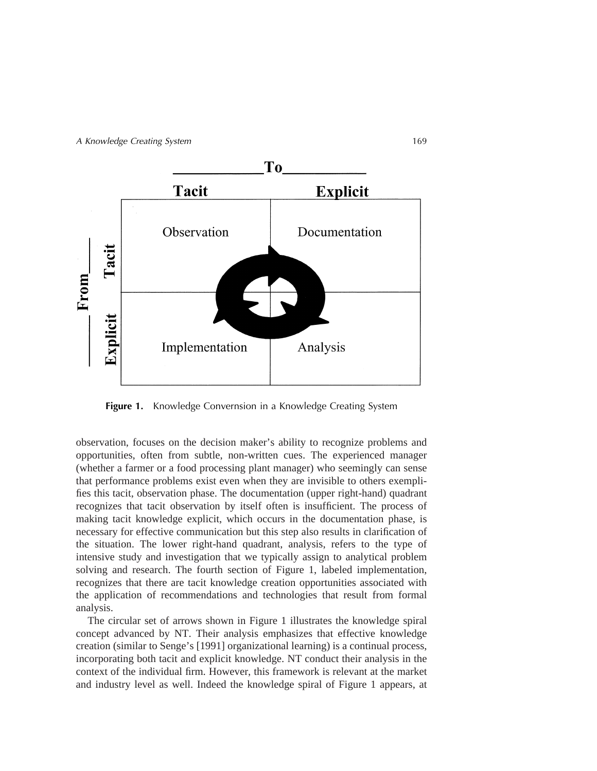

Figure 1. Knowledge Convernsion in a Knowledge Creating System

observation, focuses on the decision maker's ability to recognize problems and opportunities, often from subtle, non-written cues. The experienced manager (whether a farmer or a food processing plant manager) who seemingly can sense that performance problems exist even when they are invisible to others exemplifies this tacit, observation phase. The documentation (upper right-hand) quadrant recognizes that tacit observation by itself often is insufficient. The process of making tacit knowledge explicit, which occurs in the documentation phase, is necessary for effective communication but this step also results in clarification of the situation. The lower right-hand quadrant, analysis, refers to the type of intensive study and investigation that we typically assign to analytical problem solving and research. The fourth section of Figure 1, labeled implementation, recognizes that there are tacit knowledge creation opportunities associated with the application of recommendations and technologies that result from formal analysis.

The circular set of arrows shown in Figure 1 illustrates the knowledge spiral concept advanced by NT. Their analysis emphasizes that effective knowledge creation (similar to Senge's [1991] organizational learning) is a continual process, incorporating both tacit and explicit knowledge. NT conduct their analysis in the context of the individual firm. However, this framework is relevant at the market and industry level as well. Indeed the knowledge spiral of Figure 1 appears, at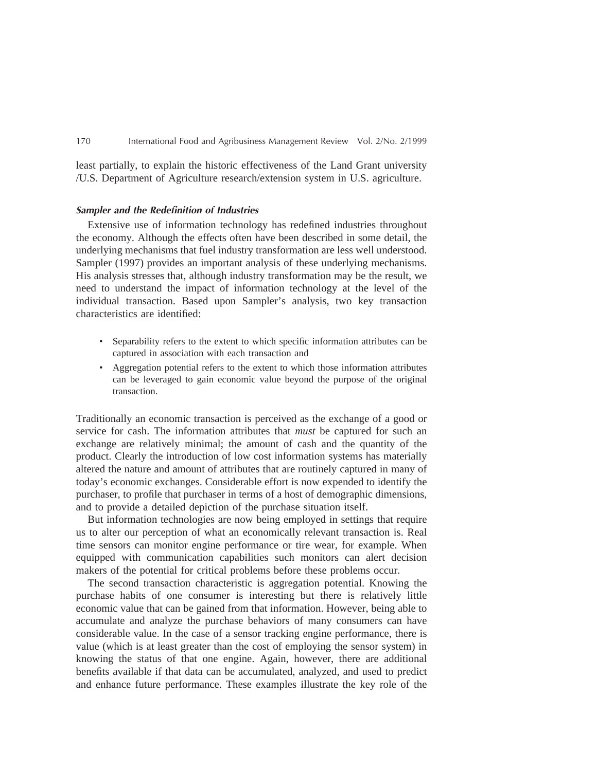least partially, to explain the historic effectiveness of the Land Grant university /U.S. Department of Agriculture research/extension system in U.S. agriculture.

## **Sampler and the Redefinition of Industries**

Extensive use of information technology has redefined industries throughout the economy. Although the effects often have been described in some detail, the underlying mechanisms that fuel industry transformation are less well understood. Sampler (1997) provides an important analysis of these underlying mechanisms. His analysis stresses that, although industry transformation may be the result, we need to understand the impact of information technology at the level of the individual transaction. Based upon Sampler's analysis, two key transaction characteristics are identified:

- Separability refers to the extent to which specific information attributes can be captured in association with each transaction and
- Aggregation potential refers to the extent to which those information attributes can be leveraged to gain economic value beyond the purpose of the original transaction.

Traditionally an economic transaction is perceived as the exchange of a good or service for cash. The information attributes that *must* be captured for such an exchange are relatively minimal; the amount of cash and the quantity of the product. Clearly the introduction of low cost information systems has materially altered the nature and amount of attributes that are routinely captured in many of today's economic exchanges. Considerable effort is now expended to identify the purchaser, to profile that purchaser in terms of a host of demographic dimensions, and to provide a detailed depiction of the purchase situation itself.

But information technologies are now being employed in settings that require us to alter our perception of what an economically relevant transaction is. Real time sensors can monitor engine performance or tire wear, for example. When equipped with communication capabilities such monitors can alert decision makers of the potential for critical problems before these problems occur.

The second transaction characteristic is aggregation potential. Knowing the purchase habits of one consumer is interesting but there is relatively little economic value that can be gained from that information. However, being able to accumulate and analyze the purchase behaviors of many consumers can have considerable value. In the case of a sensor tracking engine performance, there is value (which is at least greater than the cost of employing the sensor system) in knowing the status of that one engine. Again, however, there are additional benefits available if that data can be accumulated, analyzed, and used to predict and enhance future performance. These examples illustrate the key role of the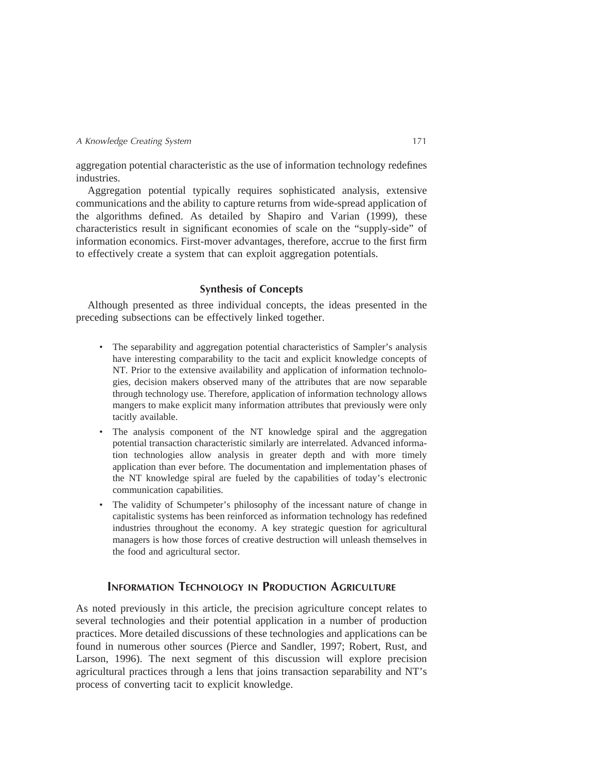aggregation potential characteristic as the use of information technology redefines industries.

Aggregation potential typically requires sophisticated analysis, extensive communications and the ability to capture returns from wide-spread application of the algorithms defined. As detailed by Shapiro and Varian (1999), these characteristics result in significant economies of scale on the "supply-side" of information economics. First-mover advantages, therefore, accrue to the first firm to effectively create a system that can exploit aggregation potentials.

## **Synthesis of Concepts**

Although presented as three individual concepts, the ideas presented in the preceding subsections can be effectively linked together.

- The separability and aggregation potential characteristics of Sampler's analysis have interesting comparability to the tacit and explicit knowledge concepts of NT. Prior to the extensive availability and application of information technologies, decision makers observed many of the attributes that are now separable through technology use. Therefore, application of information technology allows mangers to make explicit many information attributes that previously were only tacitly available.
- The analysis component of the NT knowledge spiral and the aggregation potential transaction characteristic similarly are interrelated. Advanced information technologies allow analysis in greater depth and with more timely application than ever before. The documentation and implementation phases of the NT knowledge spiral are fueled by the capabilities of today's electronic communication capabilities.
- The validity of Schumpeter's philosophy of the incessant nature of change in capitalistic systems has been reinforced as information technology has redefined industries throughout the economy. A key strategic question for agricultural managers is how those forces of creative destruction will unleash themselves in the food and agricultural sector.

## **INFORMATION TECHNOLOGY IN PRODUCTION AGRICULTURE**

As noted previously in this article, the precision agriculture concept relates to several technologies and their potential application in a number of production practices. More detailed discussions of these technologies and applications can be found in numerous other sources (Pierce and Sandler, 1997; Robert, Rust, and Larson, 1996). The next segment of this discussion will explore precision agricultural practices through a lens that joins transaction separability and NT's process of converting tacit to explicit knowledge.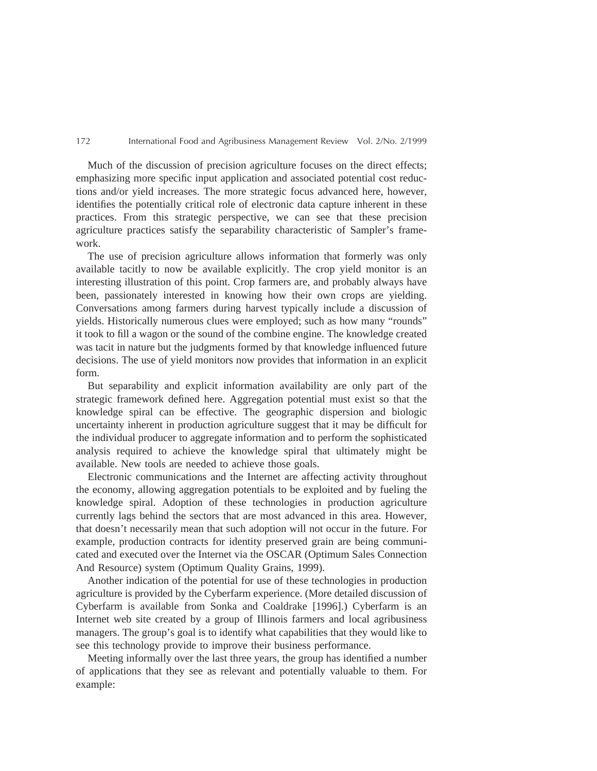Much of the discussion of precision agriculture focuses on the direct effects; emphasizing more specific input application and associated potential cost reductions and/or yield increases. The more strategic focus advanced here, however, identifies the potentially critical role of electronic data capture inherent in these practices. From this strategic perspective, we can see that these precision agriculture practices satisfy the separability characteristic of Sampler's framework.

The use of precision agriculture allows information that formerly was only available tacitly to now be available explicitly. The crop yield monitor is an interesting illustration of this point. Crop farmers are, and probably always have been, passionately interested in knowing how their own crops are yielding. Conversations among farmers during harvest typically include a discussion of yields. Historically numerous clues were employed; such as how many "rounds" it took to fill a wagon or the sound of the combine engine. The knowledge created was tacit in nature but the judgments formed by that knowledge influenced future decisions. The use of yield monitors now provides that information in an explicit form.

But separability and explicit information availability are only part of the strategic framework defined here. Aggregation potential must exist so that the knowledge spiral can be effective. The geographic dispersion and biologic uncertainty inherent in production agriculture suggest that it may be difficult for the individual producer to aggregate information and to perform the sophisticated analysis required to achieve the knowledge spiral that ultimately might be available. New tools are needed to achieve those goals.

Electronic communications and the Internet are affecting activity throughout the economy, allowing aggregation potentials to be exploited and by fueling the knowledge spiral. Adoption of these technologies in production agriculture currently lags behind the sectors that are most advanced in this area. However, that doesn't necessarily mean that such adoption will not occur in the future. For example, production contracts for identity preserved grain are being communicated and executed over the Internet via the OSCAR (Optimum Sales Connection And Resource) system (Optimum Quality Grains, 1999).

Another indication of the potential for use of these technologies in production agriculture is provided by the Cyberfarm experience. (More detailed discussion of Cyberfarm is available from Sonka and Coaldrake [1996].) Cyberfarm is an Internet web site created by a group of Illinois farmers and local agribusiness managers. The group's goal is to identify what capabilities that they would like to see this technology provide to improve their business performance.

Meeting informally over the last three years, the group has identified a number of applications that they see as relevant and potentially valuable to them. For example: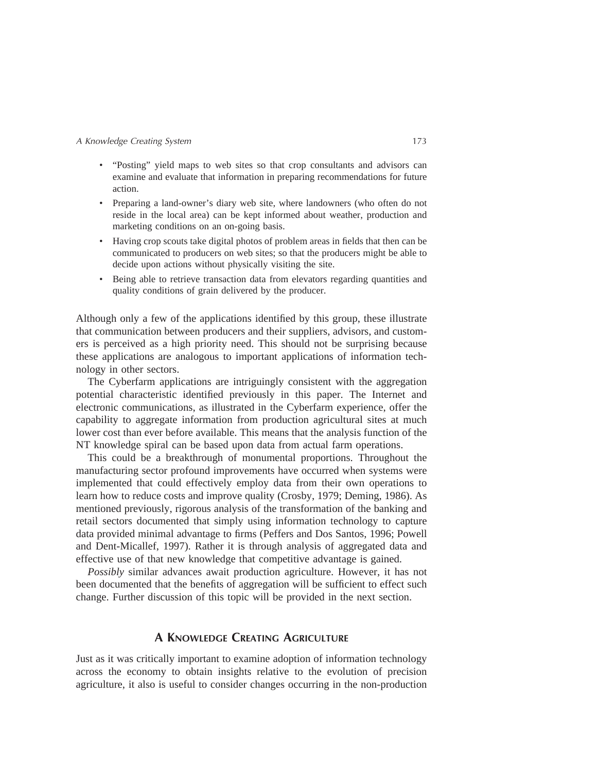- "Posting" yield maps to web sites so that crop consultants and advisors can examine and evaluate that information in preparing recommendations for future action.
- Preparing a land-owner's diary web site, where landowners (who often do not reside in the local area) can be kept informed about weather, production and marketing conditions on an on-going basis.
- Having crop scouts take digital photos of problem areas in fields that then can be communicated to producers on web sites; so that the producers might be able to decide upon actions without physically visiting the site.
- Being able to retrieve transaction data from elevators regarding quantities and quality conditions of grain delivered by the producer.

Although only a few of the applications identified by this group, these illustrate that communication between producers and their suppliers, advisors, and customers is perceived as a high priority need. This should not be surprising because these applications are analogous to important applications of information technology in other sectors.

The Cyberfarm applications are intriguingly consistent with the aggregation potential characteristic identified previously in this paper. The Internet and electronic communications, as illustrated in the Cyberfarm experience, offer the capability to aggregate information from production agricultural sites at much lower cost than ever before available. This means that the analysis function of the NT knowledge spiral can be based upon data from actual farm operations.

This could be a breakthrough of monumental proportions. Throughout the manufacturing sector profound improvements have occurred when systems were implemented that could effectively employ data from their own operations to learn how to reduce costs and improve quality (Crosby, 1979; Deming, 1986). As mentioned previously, rigorous analysis of the transformation of the banking and retail sectors documented that simply using information technology to capture data provided minimal advantage to firms (Peffers and Dos Santos, 1996; Powell and Dent-Micallef, 1997). Rather it is through analysis of aggregated data and effective use of that new knowledge that competitive advantage is gained.

*Possibly* similar advances await production agriculture. However, it has not been documented that the benefits of aggregation will be sufficient to effect such change. Further discussion of this topic will be provided in the next section.

# **A KNOWLEDGE CREATING AGRICULTURE**

Just as it was critically important to examine adoption of information technology across the economy to obtain insights relative to the evolution of precision agriculture, it also is useful to consider changes occurring in the non-production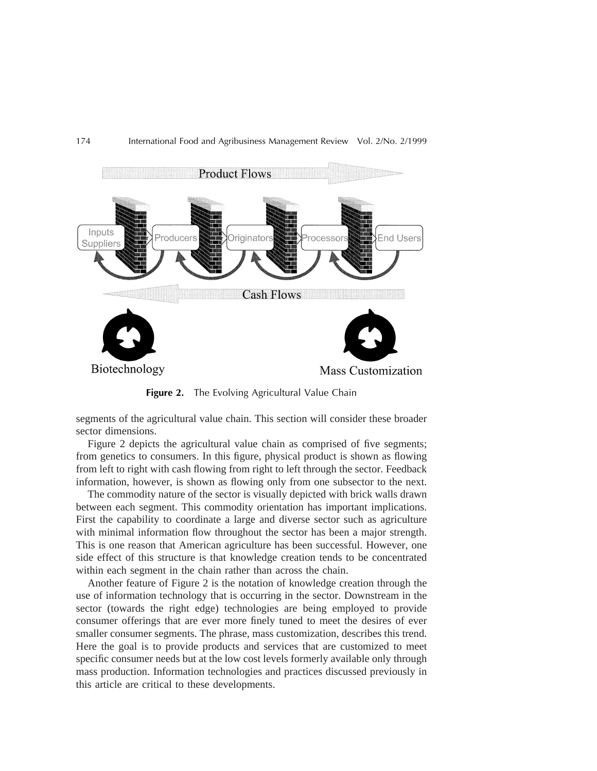

**Figure 2.** The Evolving Agricultural Value Chain

segments of the agricultural value chain. This section will consider these broader sector dimensions.

Figure 2 depicts the agricultural value chain as comprised of five segments; from genetics to consumers. In this figure, physical product is shown as flowing from left to right with cash flowing from right to left through the sector. Feedback information, however, is shown as flowing only from one subsector to the next.

The commodity nature of the sector is visually depicted with brick walls drawn between each segment. This commodity orientation has important implications. First the capability to coordinate a large and diverse sector such as agriculture with minimal information flow throughout the sector has been a major strength. This is one reason that American agriculture has been successful. However, one side effect of this structure is that knowledge creation tends to be concentrated within each segment in the chain rather than across the chain.

Another feature of Figure 2 is the notation of knowledge creation through the use of information technology that is occurring in the sector. Downstream in the sector (towards the right edge) technologies are being employed to provide consumer offerings that are ever more finely tuned to meet the desires of ever smaller consumer segments. The phrase, mass customization, describes this trend. Here the goal is to provide products and services that are customized to meet specific consumer needs but at the low cost levels formerly available only through mass production. Information technologies and practices discussed previously in this article are critical to these developments.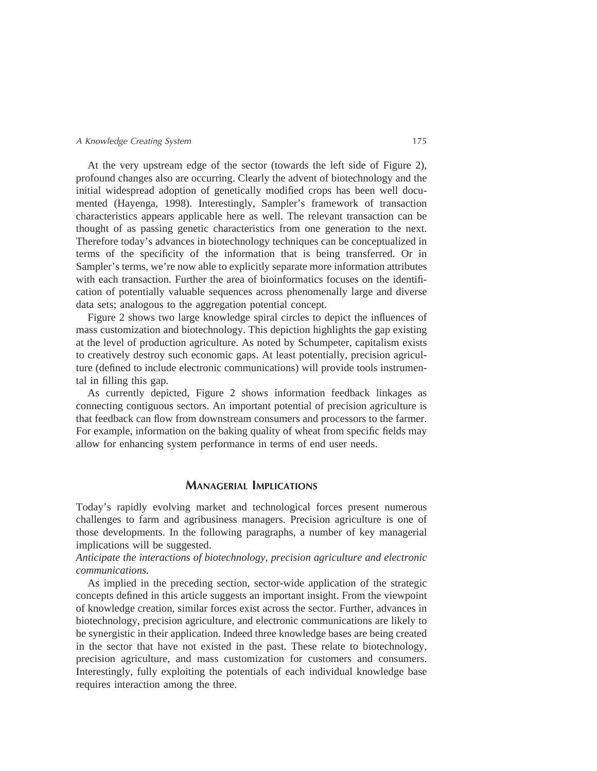At the very upstream edge of the sector (towards the left side of Figure 2), profound changes also are occurring. Clearly the advent of biotechnology and the initial widespread adoption of genetically modified crops has been well documented (Hayenga, 1998). Interestingly, Sampler's framework of transaction characteristics appears applicable here as well. The relevant transaction can be thought of as passing genetic characteristics from one generation to the next. Therefore today's advances in biotechnology techniques can be conceptualized in terms of the specificity of the information that is being transferred. Or in Sampler's terms, we're now able to explicitly separate more information attributes with each transaction. Further the area of bioinformatics focuses on the identification of potentially valuable sequences across phenomenally large and diverse data sets; analogous to the aggregation potential concept.

Figure 2 shows two large knowledge spiral circles to depict the influences of mass customization and biotechnology. This depiction highlights the gap existing at the level of production agriculture. As noted by Schumpeter, capitalism exists to creatively destroy such economic gaps. At least potentially, precision agriculture (defined to include electronic communications) will provide tools instrumental in filling this gap.

As currently depicted, Figure 2 shows information feedback linkages as connecting contiguous sectors. An important potential of precision agriculture is that feedback can flow from downstream consumers and processors to the farmer. For example, information on the baking quality of wheat from specific fields may allow for enhancing system performance in terms of end user needs.

## **MANAGERIAL IMPLICATIONS**

Today's rapidly evolving market and technological forces present numerous challenges to farm and agribusiness managers. Precision agriculture is one of those developments. In the following paragraphs, a number of key managerial implications will be suggested.

*Anticipate the interactions of biotechnology, precision agriculture and electronic communications.*

As implied in the preceding section, sector-wide application of the strategic concepts defined in this article suggests an important insight. From the viewpoint of knowledge creation, similar forces exist across the sector. Further, advances in biotechnology, precision agriculture, and electronic communications are likely to be synergistic in their application. Indeed three knowledge bases are being created in the sector that have not existed in the past. These relate to biotechnology, precision agriculture, and mass customization for customers and consumers. Interestingly, fully exploiting the potentials of each individual knowledge base requires interaction among the three.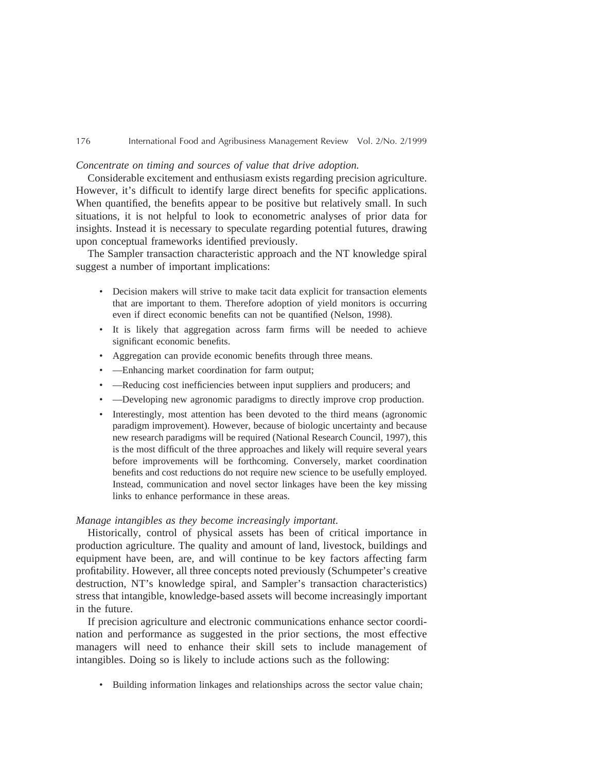#### 176 International Food and Agribusiness Management Review Vol. 2/No. 2/1999

## *Concentrate on timing and sources of value that drive adoption.*

Considerable excitement and enthusiasm exists regarding precision agriculture. However, it's difficult to identify large direct benefits for specific applications. When quantified, the benefits appear to be positive but relatively small. In such situations, it is not helpful to look to econometric analyses of prior data for insights. Instead it is necessary to speculate regarding potential futures, drawing upon conceptual frameworks identified previously.

The Sampler transaction characteristic approach and the NT knowledge spiral suggest a number of important implications:

- Decision makers will strive to make tacit data explicit for transaction elements that are important to them. Therefore adoption of yield monitors is occurring even if direct economic benefits can not be quantified (Nelson, 1998).
- It is likely that aggregation across farm firms will be needed to achieve significant economic benefits.
- Aggregation can provide economic benefits through three means.
- —Enhancing market coordination for farm output;
- —Reducing cost inefficiencies between input suppliers and producers; and
- —Developing new agronomic paradigms to directly improve crop production.
- Interestingly, most attention has been devoted to the third means (agronomic paradigm improvement). However, because of biologic uncertainty and because new research paradigms will be required (National Research Council, 1997), this is the most difficult of the three approaches and likely will require several years before improvements will be forthcoming. Conversely, market coordination benefits and cost reductions do not require new science to be usefully employed. Instead, communication and novel sector linkages have been the key missing links to enhance performance in these areas.

## *Manage intangibles as they become increasingly important.*

Historically, control of physical assets has been of critical importance in production agriculture. The quality and amount of land, livestock, buildings and equipment have been, are, and will continue to be key factors affecting farm profitability. However, all three concepts noted previously (Schumpeter's creative destruction, NT's knowledge spiral, and Sampler's transaction characteristics) stress that intangible, knowledge-based assets will become increasingly important in the future.

If precision agriculture and electronic communications enhance sector coordination and performance as suggested in the prior sections, the most effective managers will need to enhance their skill sets to include management of intangibles. Doing so is likely to include actions such as the following:

• Building information linkages and relationships across the sector value chain;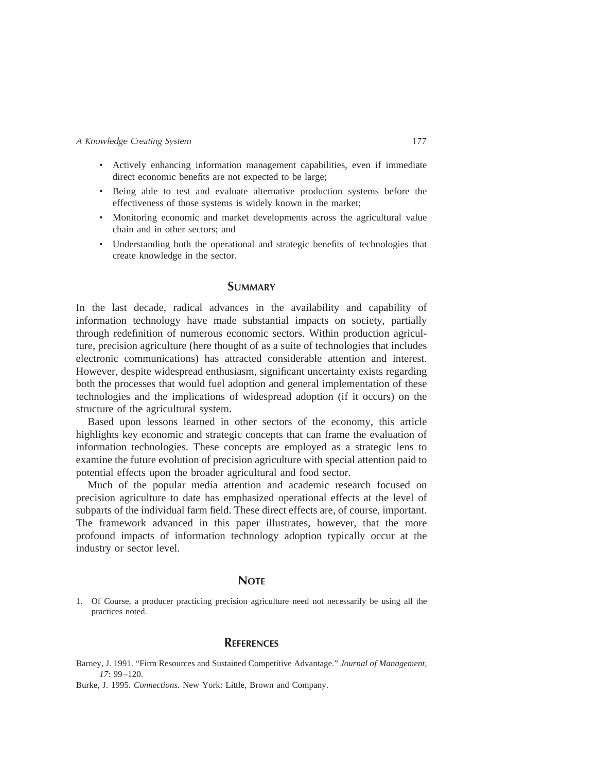- Actively enhancing information management capabilities, even if immediate direct economic benefits are not expected to be large;
- Being able to test and evaluate alternative production systems before the effectiveness of those systems is widely known in the market;
- Monitoring economic and market developments across the agricultural value chain and in other sectors; and
- Understanding both the operational and strategic benefits of technologies that create knowledge in the sector.

## **SUMMARY**

In the last decade, radical advances in the availability and capability of information technology have made substantial impacts on society, partially through redefinition of numerous economic sectors. Within production agriculture, precision agriculture (here thought of as a suite of technologies that includes electronic communications) has attracted considerable attention and interest. However, despite widespread enthusiasm, significant uncertainty exists regarding both the processes that would fuel adoption and general implementation of these technologies and the implications of widespread adoption (if it occurs) on the structure of the agricultural system.

Based upon lessons learned in other sectors of the economy, this article highlights key economic and strategic concepts that can frame the evaluation of information technologies. These concepts are employed as a strategic lens to examine the future evolution of precision agriculture with special attention paid to potential effects upon the broader agricultural and food sector.

Much of the popular media attention and academic research focused on precision agriculture to date has emphasized operational effects at the level of subparts of the individual farm field. These direct effects are, of course, important. The framework advanced in this paper illustrates, however, that the more profound impacts of information technology adoption typically occur at the industry or sector level.

# **NOTE**

1. Of Course, a producer practicing precision agriculture need not necessarily be using all the practices noted.

#### **REFERENCES**

Barney, J. 1991. "Firm Resources and Sustained Competitive Advantage." *Journal of Management, 17*: 99–120.

Burke, J. 1995. *Connections.* New York: Little, Brown and Company.